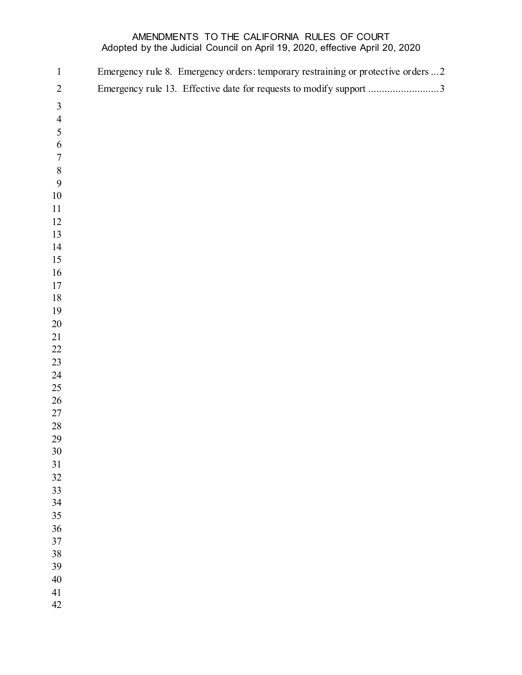## AMENDMENTS TO THE CALIFORNIA RULES OF COURT Adopted by the Judicial Council on April 19, 2020, effective April 20, 2020

| $\mathbf{1}$   | Emergency rule 8. Emergency orders: temporary restraining or protective orders  2 |
|----------------|-----------------------------------------------------------------------------------|
| $\sqrt{2}$     | Emergency rule 13. Effective date for requests to modify support 3                |
| $\mathfrak{Z}$ |                                                                                   |
| $\overline{4}$ |                                                                                   |
| 5              |                                                                                   |
| $\sqrt{6}$     |                                                                                   |
| $\sqrt{ }$     |                                                                                   |
| $\,8\,$        |                                                                                   |
| 9              |                                                                                   |
| $10\,$         |                                                                                   |
| 11             |                                                                                   |
| 12             |                                                                                   |
| 13             |                                                                                   |
| 14             |                                                                                   |
| 15             |                                                                                   |
| 16             |                                                                                   |
| 17             |                                                                                   |
| $18\,$         |                                                                                   |
| 19<br>$20\,$   |                                                                                   |
| 21             |                                                                                   |
| $22\,$         |                                                                                   |
| 23             |                                                                                   |
| 24             |                                                                                   |
| $25\,$         |                                                                                   |
| $26\,$         |                                                                                   |
| $27\,$         |                                                                                   |
| $28\,$         |                                                                                   |
| 29             |                                                                                   |
| $30\,$         |                                                                                   |
| 31             |                                                                                   |
| 32             |                                                                                   |
| 33             |                                                                                   |
| 34             |                                                                                   |
| 35             |                                                                                   |
| 36             |                                                                                   |
| 37             |                                                                                   |
| 38             |                                                                                   |
| 39             |                                                                                   |
| $40\,$         |                                                                                   |
| 41<br>42       |                                                                                   |
|                |                                                                                   |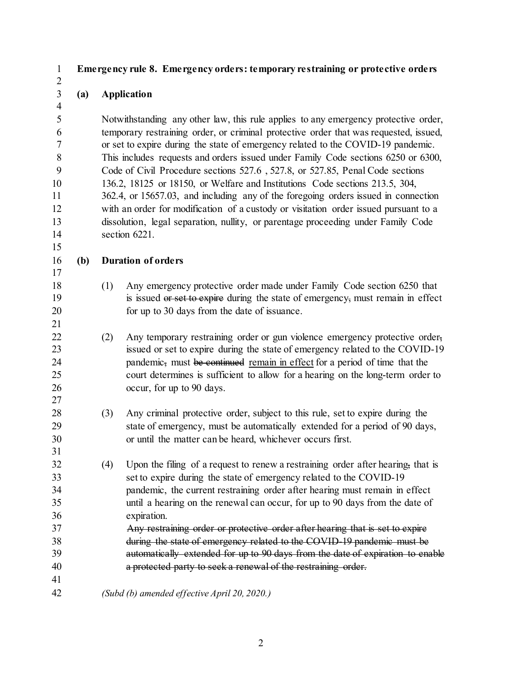## <span id="page-1-0"></span>**Emergency rule 8. Emergency orders: temporary restraining or protective orders**

## **(a) Application**

 Notwithstanding any other law, this rule applies to any emergency protective order, temporary restraining order, or criminal protective order that was requested, issued, or set to expire during the state of emergency related to the COVID-19 pandemic. This includes requests and orders issued under Family Code sections 6250 or 6300, Code of Civil Procedure sections 527.6 , 527.8, or 527.85, Penal Code sections 136.2, 18125 or 18150, or Welfare and Institutions Code sections 213.5, 304, 362.4, or 15657.03, and including any of the foregoing orders issued in connection with an order for modification of a custody or visitation order issued pursuant to a dissolution, legal separation, nullity, or parentage proceeding under Family Code section 6221. 

**(b) Duration of orders**

- (1) Any emergency protective order made under Family Code section 6250 that 19 is issued or set to expire during the state of emergency, must remain in effect for up to 30 days from the date of issuance.
- (2) Any temporary restraining order or gun violence emergency protective order, issued or set to expire during the state of emergency related to the COVID-19 24 pandemic, must be continued remain in effect for a period of time that the court determines is sufficient to allow for a hearing on the long-term order to occur, for up to 90 days.
- (3) Any criminal protective order, subject to this rule, set to expire during the state of emergency, must be automatically extended for a period of 90 days, or until the matter can be heard, whichever occurs first.
- (4) Upon the filing of a request to renew a restraining order after hearing, that is set to expire during the state of emergency related to the COVID-19 pandemic, the current restraining order after hearing must remain in effect until a hearing on the renewal can occur, for up to 90 days from the date of expiration. Any restraining order or protective order after hearing that is set to expire during the state of emergency related to the COVID-19 pandemic must be
- automatically extended for up to 90 days from the date of expiration to enable a protected party to seek a renewal of the restraining order.
- *(Subd (b) amended effective April 20, 2020.)*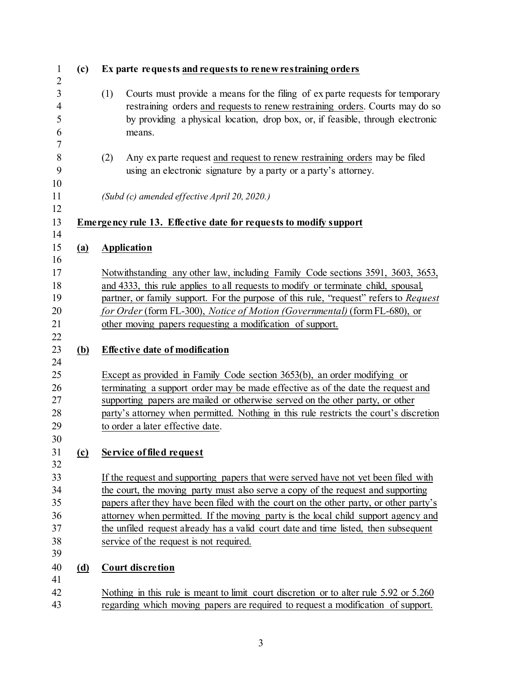<span id="page-2-0"></span>

| (c)                         | Ex parte requests and requests to renew restraining orders                                                                                                                                                                                                                                                                                                                                                                                                                              |
|-----------------------------|-----------------------------------------------------------------------------------------------------------------------------------------------------------------------------------------------------------------------------------------------------------------------------------------------------------------------------------------------------------------------------------------------------------------------------------------------------------------------------------------|
|                             | (1)<br>Courts must provide a means for the filing of exparte requests for temporary<br>restraining orders and requests to renew restraining orders. Courts may do so<br>by providing a physical location, drop box, or, if feasible, through electronic<br>means.                                                                                                                                                                                                                       |
|                             | Any exparte request and request to renew restraining orders may be filed<br>(2)<br>using an electronic signature by a party or a party's attorney.                                                                                                                                                                                                                                                                                                                                      |
|                             | (Subd (c) amended effective April 20, 2020.)                                                                                                                                                                                                                                                                                                                                                                                                                                            |
|                             | <b>Emergency rule 13. Effective date for requests to modify support</b>                                                                                                                                                                                                                                                                                                                                                                                                                 |
| (a)                         | <b>Application</b>                                                                                                                                                                                                                                                                                                                                                                                                                                                                      |
|                             | Notwithstanding any other law, including Family Code sections 3591, 3603, 3653,<br>and 4333, this rule applies to all requests to modify or terminate child, spousal,<br>partner, or family support. For the purpose of this rule, "request" refers to Request<br>for Order (form FL-300), Notice of Motion (Governmental) (form FL-680), or<br>other moving papers requesting a modification of support.                                                                               |
| (b)                         | <b>Effective date of modification</b>                                                                                                                                                                                                                                                                                                                                                                                                                                                   |
|                             | Except as provided in Family Code section 3653(b), an order modifying or<br>terminating a support order may be made effective as of the date the request and<br>supporting papers are mailed or otherwise served on the other party, or other<br>party's attorney when permitted. Nothing in this rule restricts the court's discretion<br>to order a later effective date.                                                                                                             |
| $\left( \mathbf{c} \right)$ | <b>Service of filed request</b>                                                                                                                                                                                                                                                                                                                                                                                                                                                         |
|                             | If the request and supporting papers that were served have not yet been filed with<br>the court, the moving party must also serve a copy of the request and supporting<br>papers after they have been filed with the court on the other party, or other party's<br>attorney when permitted. If the moving party is the local child support agency and<br>the unfiled request already has a valid court date and time listed, then subsequent<br>service of the request is not required. |
| <u>(d)</u>                  | <b>Court discretion</b>                                                                                                                                                                                                                                                                                                                                                                                                                                                                 |
|                             | Nothing in this rule is meant to limit court discretion or to alter rule 5.92 or 5.260<br>regarding which moving papers are required to request a modification of support.                                                                                                                                                                                                                                                                                                              |